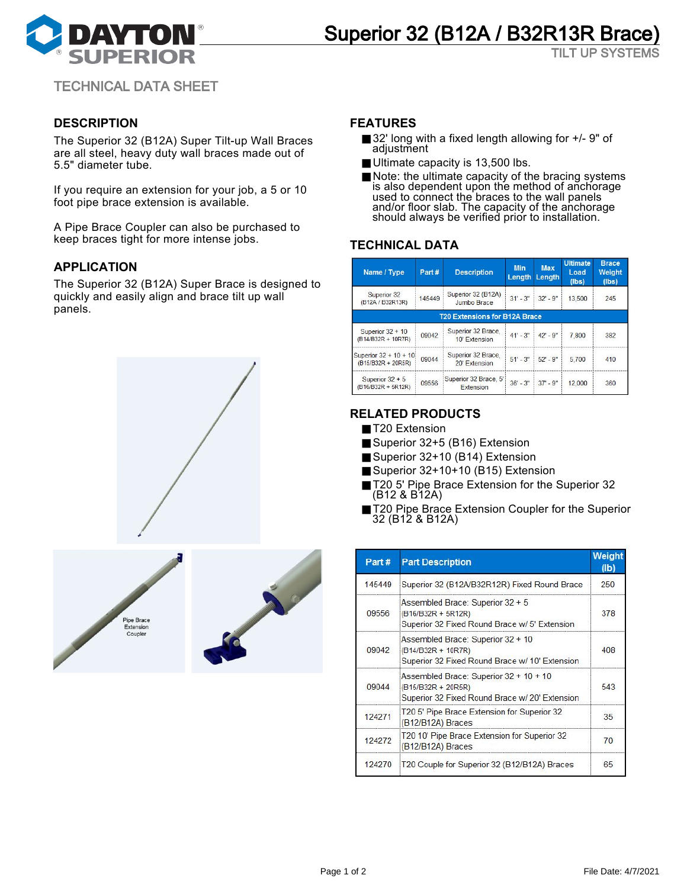

TILT UP SYSTEMS

TECHNICAL DATA SHEET

# **DESCRIPTION**

The Superior 32 (B12A) Super Tilt-up Wall Braces are all steel, heavy duty wall braces made out of 5.5" diameter tube.

If you require an extension for your job, a 5 or 10 foot pipe brace extension is available.

A Pipe Brace Coupler can also be purchased to keep braces tight for more intense jobs.

## **APPLICATION**

The Superior 32 (B12A) Super Brace is designed to quickly and easily align and brace tilt up wall panels.



#### **FEATURES**

- 32' long with a fixed length allowing for  $+/-$  9" of adjustment
- Ultimate capacity is 13,500 lbs.
- Note: the ultimate capacity of the bracing systems is also dependent upon the method of anchorage used to connect the braces to the wall panels and/or floor slab. The capacity of the anchorage should always be verified prior to installation.

### **TECHNICAL DATA**

| Name / Type                                 | Part#  | <b>Description</b>                   | <b>Min</b><br>Length | <b>Max</b><br>Length    | <b>Ultimate</b><br>Load<br>(lbs) | <b>Brace</b><br>Weight<br>(lbs) |
|---------------------------------------------|--------|--------------------------------------|----------------------|-------------------------|----------------------------------|---------------------------------|
| Superior 32<br>(B12A / B32R13R)             | 145449 | Superior 32 (B12A)<br>Jumbo Brace    |                      | $31' - 3''$ 32' - 9"    | 13.500                           | 245                             |
|                                             |        | <b>T20 Extensions for B12A Brace</b> |                      |                         |                                  |                                 |
| Superior $32 + 10$<br>(B14/B32R + 10R7R)    | 09042  | Superior 32 Brace.<br>10' Extension  |                      | $41' - 3''$ $42' - 9''$ | 7,800                            | 382                             |
| Superior 32 + 10 + 10<br>(B15/B32R + 20R5R) | 09044  | Superior 32 Brace,<br>20' Extension  |                      | $51' - 3''$ 52' - 9"    | 5,700                            | 410                             |
| Superior $32 + 5$<br>(B16/B32R + 5R12R)     | 09556  | Superior 32 Brace, 5'<br>Extension   |                      | $36' - 3''$ 37' - 9"    | 12,000                           | 360                             |

# **RELATED PRODUCTS**

- T20 Extension
- Superior 32+5 (B16) Extension
- Superior 32+10 (B14) Extension
- Superior 32+10+10 (B15) Extension
- T20 5' Pipe Brace Extension for the Superior 32 (B12 & B12A)
- T20 Pipe Brace Extension Coupler for the Superior 32 (B12 & B12A)

| Part#  | <b>Part Description</b>                                                                                        | Weight<br>$(\mathsf{lb})$ |
|--------|----------------------------------------------------------------------------------------------------------------|---------------------------|
| 145449 | Superior 32 (B12A/B32R12R) Fixed Round Brace                                                                   | 250                       |
| 09556  | Assembled Brace: Superior 32 + 5<br>(B16/B32R + 5R12R)<br>Superior 32 Fixed Round Brace w/ 5' Extension        | 378                       |
| 09042  | Assembled Brace: Superior 32 + 10<br>(B14/B32R + 10R7R)<br>Superior 32 Fixed Round Brace w/ 10' Extension      | 408                       |
| 09044  | Assembled Brace: Superior 32 + 10 + 10<br>(B15/B32R + 20R5R)<br>Superior 32 Fixed Round Brace w/ 20' Extension | 543                       |
| 124271 | T20 5' Pipe Brace Extension for Superior 32<br>(B12/B12A) Braces                                               | 35                        |
| 124272 | T20 10' Pipe Brace Extension for Superior 32<br>(B12/B12A) Braces                                              | 70                        |
| 124270 | T20 Couple for Superior 32 (B12/B12A) Braces                                                                   | 65                        |